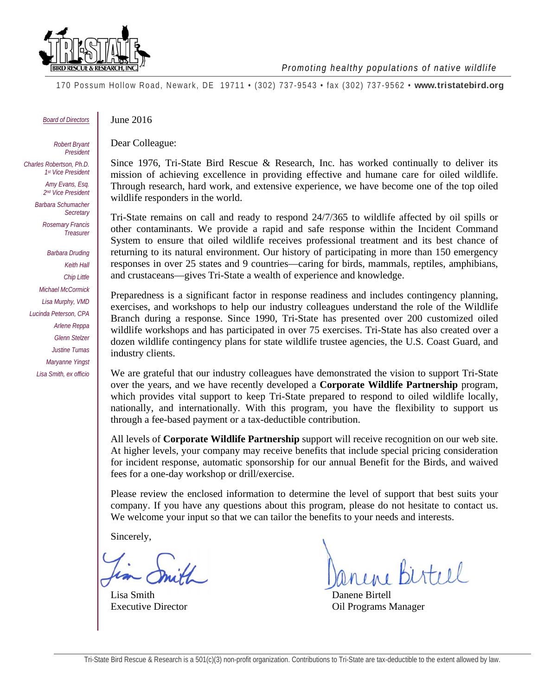

*Promoting healthy populations of native wildlife* 

170 Possum Hollow Road, Newark, DE 19711 • (302) 737-9543 • fax (302) 737-9562 • **www.tristatebird.org**

*Board of Directors* 

*Barbara Druding Keith Hall Chip Little Michael McCormick Lisa Murphy, VMD Lucinda Peterson, CPA Arlene Reppa Glenn Stelzer Justine Tumas Maryanne Yingst Lisa Smith, ex officio* 

*Charles Robertson, Ph.D. 1st Vice President Amy Evans, Esq. 2nd Vice President Barbara Schumacher Secretary Rosemary Francis Treasurer* 

Dear Colleague: *Robert Bryant President* 

June 2016

Since 1976, Tri-State Bird Rescue & Research, Inc. has worked continually to deliver its mission of achieving excellence in providing effective and humane care for oiled wildlife. Through research, hard work, and extensive experience, we have become one of the top oiled wildlife responders in the world.

Tri-State remains on call and ready to respond 24/7/365 to wildlife affected by oil spills or other contaminants. We provide a rapid and safe response within the Incident Command System to ensure that oiled wildlife receives professional treatment and its best chance of returning to its natural environment. Our history of participating in more than 150 emergency responses in over 25 states and 9 countries—caring for birds, mammals, reptiles, amphibians, and crustaceans—gives Tri-State a wealth of experience and knowledge.

Preparedness is a significant factor in response readiness and includes contingency planning, exercises, and workshops to help our industry colleagues understand the role of the Wildlife Branch during a response. Since 1990, Tri-State has presented over 200 customized oiled wildlife workshops and has participated in over 75 exercises. Tri-State has also created over a dozen wildlife contingency plans for state wildlife trustee agencies, the U.S. Coast Guard, and industry clients.

We are grateful that our industry colleagues have demonstrated the vision to support Tri-State over the years, and we have recently developed a **Corporate Wildlife Partnership** program, which provides vital support to keep Tri-State prepared to respond to oiled wildlife locally, nationally, and internationally. With this program, you have the flexibility to support us through a fee-based payment or a tax-deductible contribution.

All levels of **Corporate Wildlife Partnership** support will receive recognition on our web site. At higher levels, your company may receive benefits that include special pricing consideration for incident response, automatic sponsorship for our annual Benefit for the Birds, and waived fees for a one-day workshop or drill/exercise.

Please review the enclosed information to determine the level of support that best suits your company. If you have any questions about this program, please do not hesitate to contact us. We welcome your input so that we can tailor the benefits to your needs and interests.

Sincerely,

Lisa Smith Danene Birtell

 $i$  steel

Executive Director Oil Programs Manager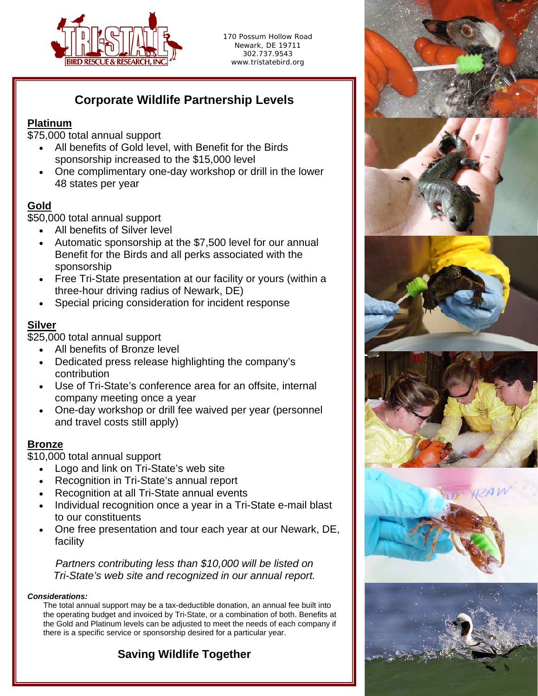

170 Possum Hollow Road Newark, DE 19711 302.737.9543 www.tristatebird.org

# **Corporate Wildlife Partnership Levels**

### **Platinum**

\$75,000 total annual support

- All benefits of Gold level, with Benefit for the Birds sponsorship increased to the \$15,000 level
- One complimentary one-day workshop or drill in the lower 48 states per year

### **Gold**

\$50,000 total annual support

- All benefits of Silver level
- Automatic sponsorship at the \$7,500 level for our annual Benefit for the Birds and all perks associated with the sponsorship
- Free Tri-State presentation at our facility or yours (within a three-hour driving radius of Newark, DE)
- Special pricing consideration for incident response

#### **Silver**

\$25,000 total annual support

- All benefits of Bronze level
- Dedicated press release highlighting the company's contribution
- Use of Tri-State's conference area for an offsite, internal company meeting once a year
- One-day workshop or drill fee waived per year (personnel and travel costs still apply)

### **Bronze**

\$10,000 total annual support

- Logo and link on Tri-State's web site
- Recognition in Tri-State's annual report
- Recognition at all Tri-State annual events
- Individual recognition once a year in a Tri-State e-mail blast to our constituents
- One free presentation and tour each year at our Newark, DE, facility

*Partners contributing less than \$10,000 will be listed on Tri-State's web site and recognized in our annual report.* 

#### *Considerations:*

The total annual support may be a tax-deductible donation, an annual fee built into the operating budget and invoiced by Tri-State, or a combination of both. Benefits at the Gold and Platinum levels can be adjusted to meet the needs of each company if there is a specific service or sponsorship desired for a particular year.

# **Saving Wildlife Together**